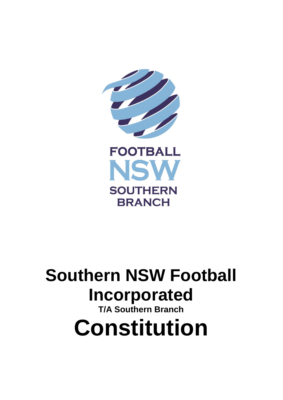

# **Southern NSW Football Incorporated T/A Southern Branch Constitution**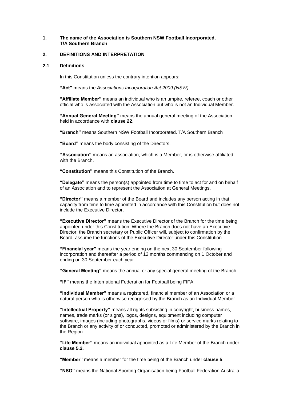# **1. The name of the Association is Southern NSW Football Incorporated. T/A Southern Branch**

## **2. DEFINITIONS AND INTERPRETATION**

#### **2.1 Definitions**

In this Constitution unless the contrary intention appears:

**"Act"** means the *Associations Incorporation Act 2009 (NSW)*.

**"Affiliate Member"** means an individual who is an umpire, referee, coach or other official who is associated with the Association but who is not an Individual Member.

**"Annual General Meeting"** means the annual general meeting of the Association held in accordance with **clause 22**.

**"Branch"** means Southern NSW Football Incorporated. T/A Southern Branch

**"Board"** means the body consisting of the Directors.

**"Association"** means an association, which is a Member, or is otherwise affiliated with the Branch.

**"Constitution"** means this Constitution of the Branch.

**"Delegate"** means the person(s) appointed from time to time to act for and on behalf of an Association and to represent the Association at General Meetings.

**"Director"** means a member of the Board and includes any person acting in that capacity from time to time appointed in accordance with this Constitution but does not include the Executive Director.

**"Executive Director"** means the Executive Director of the Branch for the time being appointed under this Constitution. Where the Branch does not have an Executive Director, the Branch secretary or Public Officer will, subject to confirmation by the Board, assume the functions of the Executive Director under this Constitution.

**"Financial year"** means the year ending on the next 30 September following incorporation and thereafter a period of 12 months commencing on 1 October and ending on 30 September each year.

**"General Meeting"** means the annual or any special general meeting of the Branch.

**"IF"** means the International Federation for Football being FIFA.

**"Individual Member"** means a registered, financial member of an Association or a natural person who is otherwise recognised by the Branch as an Individual Member.

**"Intellectual Property"** means all rights subsisting in copyright, business names, names, trade marks (or signs), logos, designs, equipment including computer software, images (including photographs, videos or films) or service marks relating to the Branch or any activity of or conducted, promoted or administered by the Branch in the Region.

**"Life Member"** means an individual appointed as a Life Member of the Branch under **clause [5.2](#page-5-0)**.

**"Member"** means a member for the time being of the Branch under **clause 5**.

**"NSO"** means the National Sporting Organisation being Football Federation Australia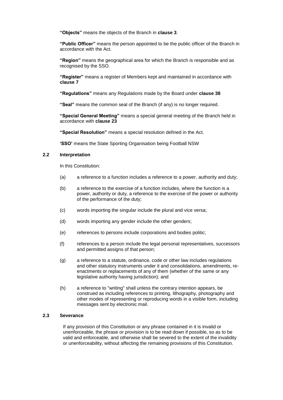**"Objects"** means the objects of the Branch in **clause [3](#page-3-0)**.

**"Public Officer"** means the person appointed to be the public officer of the Branch in accordance with the Act.

**"Region"** means the geographical area for which the Branch is responsible and as recognised by the SSO.

**"Register"** means a register of Members kept and maintained in accordance with **clause 7**

**"Regulations"** means any Regulations made by the Board under **clause 38**

**"Seal"** means the common seal of the Branch (if any) is no longer required.

**"Special General Meeting"** means a special general meeting of the Branch held in accordance with **clause 23**

**"Special Resolution"** means a special resolution defined in the Act.

**'SSO'** means the State Sporting Organisation being Football NSW

## **2.2 Interpretation**

In this Constitution:

- (a) a reference to a function includes a reference to a power, authority and duty;
- (b) a reference to the exercise of a function includes, where the function is a power, authority or duty, a reference to the exercise of the power or authority of the performance of the duty;
- (c) words importing the singular include the plural and vice versa;
- (d) words importing any gender include the other genders;
- (e) references to persons include corporations and bodies politic;
- (f) references to a person include the legal personal representatives, successors and permitted assigns of that person;
- (g) a reference to a statute, ordinance, code or other law includes regulations and other statutory instruments under it and consolidations, amendments, reenactments or replacements of any of them (whether of the same or any legislative authority having jurisdiction); and
- (h) a reference to "writing" shall unless the contrary intention appears, be construed as including references to printing, lithography, photography and other modes of representing or reproducing words in a visible form, including messages sent by electronic mail.

# **2.3 Severance**

If any provision of this Constitution or any phrase contained in it is invalid or unenforceable, the phrase or provision is to be read down if possible, so as to be valid and enforceable, and otherwise shall be severed to the extent of the invalidity or unenforceability, without affecting the remaining provisions of this Constitution.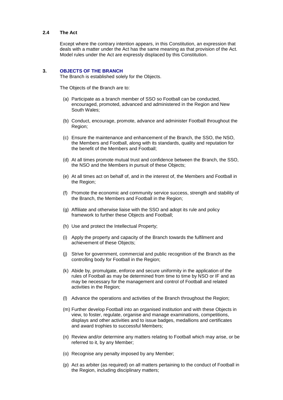#### **2.4 The Act**

Except where the contrary intention appears, in this Constitution, an expression that deals with a matter under the Act has the same meaning as that provision of the Act. Model rules under the Act are expressly displaced by this Constitution.

#### <span id="page-3-0"></span>**3. OBJECTS OF THE BRANCH**

The Branch is established solely for the Objects.

The Objects of the Branch are to:

- (a) Participate as a branch member of SSO so Football can be conducted, encouraged, promoted, advanced and administered in the Region and New South Wales;
- (b) Conduct, encourage, promote, advance and administer Football throughout the Region;
- (c) Ensure the maintenance and enhancement of the Branch, the SSO, the NSO, the Members and Football, along with its standards, quality and reputation for the benefit of the Members and Football;
- (d) At all times promote mutual trust and confidence between the Branch, the SSO, the NSO and the Members in pursuit of these Objects;
- (e) At all times act on behalf of, and in the interest of, the Members and Football in the Region;
- (f) Promote the economic and community service success, strength and stability of the Branch, the Members and Football in the Region;
- (g) Affiliate and otherwise liaise with the SSO and adopt its rule and policy framework to further these Objects and Football;
- (h) Use and protect the Intellectual Property;
- (i) Apply the property and capacity of the Branch towards the fulfilment and achievement of these Objects;
- (j) Strive for government, commercial and public recognition of the Branch as the controlling body for Football in the Region;
- (k) Abide by, promulgate, enforce and secure uniformity in the application of the rules of Football as may be determined from time to time by NSO or IF and as may be necessary for the management and control of Football and related activities in the Region;
- (l) Advance the operations and activities of the Branch throughout the Region;
- (m) Further develop Football into an organised institution and with these Objects in view, to foster, regulate, organise and manage examinations, competitions, displays and other activities and to issue badges, medallions and certificates and award trophies to successful Members;
- (n) Review and/or determine any matters relating to Football which may arise, or be referred to it, by any Member;
- (o) Recognise any penalty imposed by any Member;
- (p) Act as arbiter (as required) on all matters pertaining to the conduct of Football in the Region, including disciplinary matters;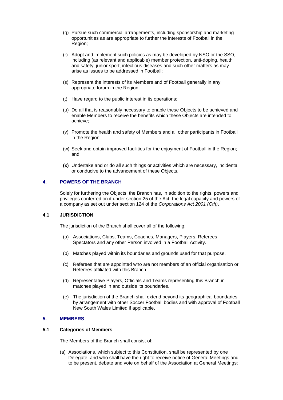- (q) Pursue such commercial arrangements, including sponsorship and marketing opportunities as are appropriate to further the interests of Football in the Region;
- (r) Adopt and implement such policies as may be developed by NSO or the SSO, including (as relevant and applicable) member protection, anti-doping, health and safety, junior sport, infectious diseases and such other matters as may arise as issues to be addressed in Football;
- (s) Represent the interests of its Members and of Football generally in any appropriate forum in the Region;
- (t) Have regard to the public interest in its operations;
- (u) Do all that is reasonably necessary to enable these Objects to be achieved and enable Members to receive the benefits which these Objects are intended to achieve;
- (v) Promote the health and safety of Members and all other participants in Football in the Region;
- (w) Seek and obtain improved facilities for the enjoyment of Football in the Region; and
- **(x)** Undertake and or do all such things or activities which are necessary, incidental or conducive to the advancement of these Objects.

# **4. POWERS OF THE BRANCH**

Solely for furthering the Objects, the Branch has, in addition to the rights, powers and privileges conferred on it under section 25 of the Act, the legal capacity and powers of a company as set out under section 124 of the *Corporations Act 2001 (Cth)*.

#### **4.1 JURISDICTION**

The jurisdiction of the Branch shall cover all of the following:

- (a) Associations, Clubs, Teams, Coaches, Managers, Players, Referees, Spectators and any other Person involved in a Football Activity.
- (b) Matches played within its boundaries and grounds used for that purpose.
- (c) Referees that are appointed who are not members of an official organisation or Referees affiliated with this Branch.
- (d) Representative Players, Officials and Teams representing this Branch in matches played in and outside its boundaries.
- (e) The jurisdiction of the Branch shall extend beyond its geographical boundaries by arrangement with other Soccer Football bodies and with approval of Football New South Wales Limited if applicable.

### **5. MEMBERS**

# **5.1 Categories of Members**

The Members of the Branch shall consist of:

(a) Associations, which subject to this Constitution, shall be represented by one Delegate, and who shall have the right to receive notice of General Meetings and to be present, debate and vote on behalf of the Association at General Meetings;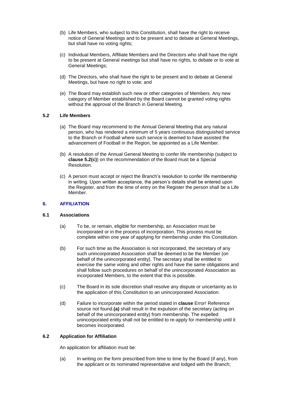- (b) Life Members, who subject to this Constitution, shall have the right to receive notice of General Meetings and to be present and to debate at General Meetings, but shall have no voting rights;
- (c) Individual Members, Affiliate Members and the Directors who shall have the right to be present at General meetings but shall have no rights, to debate or to vote at General Meetings;
- (d) The Directors, who shall have the right to be present and to debate at General Meetings, but have no right to vote; and
- (e) The Board may establish such new or other categories of Members. Any new category of Member established by the Board cannot be granted voting rights without the approval of the Branch in General Meeting.

# <span id="page-5-0"></span>**5.2 Life Members**

- (a) The Board may recommend to the Annual General Meeting that any natural person, who has rendered a minimum of 5 years continuous distinguished service to the Branch or Football where such service is deemed to have assisted the advancement of Football in the Region, be appointed as a Life Member.
- (b) A resolution of the Annual General Meeting to confer life membership (subject to **clause [5.2\(](#page-5-0)c)**) on the recommendation of the Board must be a Special Resolution.
- (c) A person must accept or reject the Branch's resolution to confer life membership in writing. Upon written acceptance, the person's details shall be entered upon the Register, and from the time of entry on the Register the person shall be a Life Member.

# **6. AFFILIATION**

#### <span id="page-5-1"></span>**6.1 Associations**

- (a) To be, or remain, eligible for membership, an Association must be incorporated or in the process of incorporation. This process must be complete within one year of applying for membership under this Constitution.
- (b) For such time as the Association is not incorporated, the secretary of any such unincorporated Association shall be deemed to be the Member (on behalf of the unincorporated entity). The secretary shall be entitled to exercise the same voting and other rights and have the same obligations and shall follow such procedures on behalf of the unincorporated Association as incorporated Members, to the extent that this is possible.
- (c) The Board in its sole discretion shall resolve any dispute or uncertainty as to the application of this Constitution to an unincorporated Association.
- (d) Failure to incorporate within the period stated in **clause** Error! Reference source not found.**[\(a\)](#page-5-1)** shall result in the expulsion of the secretary (acting on behalf of the unincorporated entity) from membership. The expelled unincorporated entity shall not be entitled to re-apply for membership until it becomes incorporated.

#### <span id="page-5-2"></span>**6.2 Application for Affiliation**

An application for affiliation must be:

(a) In writing on the form prescribed from time to time by the Board (if any), from the applicant or its nominated representative and lodged with the Branch;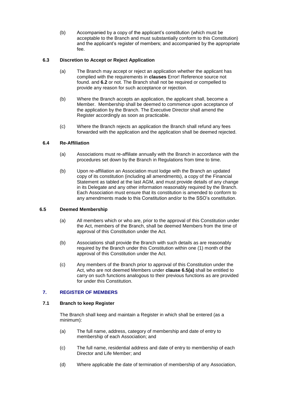(b) Accompanied by a copy of the applicant's constitution (which must be acceptable to the Branch and must substantially conform to this Constitution) and the applicant's register of members; and accompanied by the appropriate fee.

# **6.3 Discretion to Accept or Reject Application**

- (a) The Branch may accept or reject an application whether the applicant has complied with the requirements in **clauses** Error! Reference source not found. and **[6.2](#page-5-2)** or not. The Branch shall not be required or compelled to provide any reason for such acceptance or rejection.
- (b) Where the Branch accepts an application, the applicant shall, become a Member. Membership shall be deemed to commence upon acceptance of the application by the Branch. The Executive Director shall amend the Register accordingly as soon as practicable.
- (c) Where the Branch rejects an application the Branch shall refund any fees forwarded with the application and the application shall be deemed rejected.

# **6.4 Re-Affiliation**

- (a) Associations must re-affiliate annually with the Branch in accordance with the procedures set down by the Branch in Regulations from time to time.
- (b) Upon re-affiliation an Association must lodge with the Branch an updated copy of its constitution (including all amendments), a copy of the Financial Statement as tabled at the last AGM, and must provide details of any change in its Delegate and any other information reasonably required by the Branch. Each Association must ensure that its constitution is amended to conform to any amendments made to this Constitution and/or to the SSO's constitution.

# <span id="page-6-0"></span>**6.5 Deemed Membership**

- (a) All members which or who are, prior to the approval of this Constitution under the Act, members of the Branch, shall be deemed Members from the time of approval of this Constitution under the Act.
- (b) Associations shall provide the Branch with such details as are reasonably required by the Branch under this Constitution within one (1) month of the approval of this Constitution under the Act.
- (c) Any members of the Branch prior to approval of this Constitution under the Act, who are not deemed Members under **clause [6.5\(a\)](#page-6-0)** shall be entitled to carry on such functions analogous to their previous functions as are provided for under this Constitution.

# **7. REGISTER OF MEMBERS**

# **7.1 Branch to keep Register**

The Branch shall keep and maintain a Register in which shall be entered (as a minimum):

- (a) The full name, address, category of membership and date of entry to membership of each Association; and
- (c) The full name, residential address and date of entry to membership of each Director and Life Member; and
- (d) Where applicable the date of termination of membership of any Association,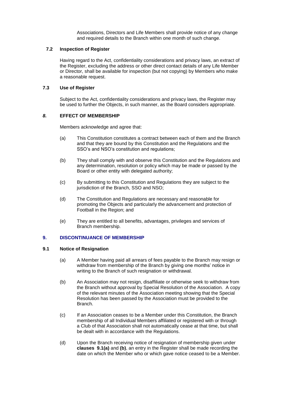Associations, Directors and Life Members shall provide notice of any change and required details to the Branch within one month of such change.

# **7.2 Inspection of Register**

Having regard to the Act, confidentiality considerations and privacy laws, an extract of the Register, excluding the address or other direct contact details of any Life Member or Director, shall be available for inspection (but not copying) by Members who make a reasonable request.

# **7.3 Use of Register**

Subject to the Act, confidentiality considerations and privacy laws, the Register may be used to further the Objects, in such manner, as the Board considers appropriate.

# *8.* **EFFECT OF MEMBERSHIP**

Members acknowledge and agree that:

- (a) This Constitution constitutes a contract between each of them and the Branch and that they are bound by this Constitution and the Regulations and the SSO's and NSO's constitution and regulations;
- (b) They shall comply with and observe this Constitution and the Regulations and any determination, resolution or policy which may be made or passed by the Board or other entity with delegated authority;
- (c) By submitting to this Constitution and Regulations they are subject to the jurisdiction of the Branch, SSO and NSO;
- (d) The Constitution and Regulations are necessary and reasonable for promoting the Objects and particularly the advancement and protection of Football in the Region; and
- (e) They are entitled to all benefits, advantages, privileges and services of Branch membership.

# <span id="page-7-0"></span>**9. DISCONTINUANCE OF MEMBERSHIP**

# **9.1 Notice of Resignation**

- (a) A Member having paid all arrears of fees payable to the Branch may resign or withdraw from membership of the Branch by giving one months' notice in writing to the Branch of such resignation or withdrawal.
- (b) An Association may not resign, disaffiliate or otherwise seek to withdraw from the Branch without approval by Special Resolution of the Association. A copy of the relevant minutes of the Association meeting showing that the Special Resolution has been passed by the Association must be provided to the Branch.
- (c) If an Association ceases to be a Member under this Constitution, the Branch membership of all Individual Members affiliated or registered with or through a Club of that Association shall not automatically cease at that time, but shall be dealt with in accordance with the Regulations.
- (d) Upon the Branch receiving notice of resignation of membership given under **clauses 9.1(a)** and **(b)**, an entry in the Register shall be made recording the date on which the Member who or which gave notice ceased to be a Member.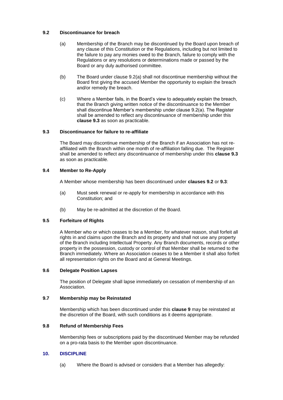# **9.2 Discontinuance for breach**

- (a) Membership of the Branch may be discontinued by the Board upon breach of any clause of this Constitution or the Regulations, including but not limited to the failure to pay any monies owed to the Branch, failure to comply with the Regulations or any resolutions or determinations made or passed by the Board or any duly authorised committee.
- (b) The Board under clause 9.2(a) shall not discontinue membership without the Board first giving the accused Member the opportunity to explain the breach and/or remedy the breach.
- (c) Where a Member fails, in the Board's view to adequately explain the breach, that the Branch giving written notice of the discontinuance to the Member shall discontinue Member's membership under clause 9.2(a). The Register shall be amended to reflect any discontinuance of membership under this **clause 9.3** as soon as practicable.

## **9.3 Discontinuance for failure to re-affiliate**

The Board may discontinue membership of the Branch if an Association has not reaffiliated with the Branch within one month of re-affiliation falling due. The Register shall be amended to reflect any discontinuance of membership under this **clause 9.3** as soon as practicable.

## **9.4 Member to Re-Apply**

A Member whose membership has been discontinued under **clauses 9.2** or **9.3**:

- (a) Must seek renewal or re-apply for membership in accordance with this Constitution; and
- (b) May be re-admitted at the discretion of the Board.

# **9.5 Forfeiture of Rights**

A Member who or which ceases to be a Member, for whatever reason, shall forfeit all rights in and claims upon the Branch and its property and shall not use any property of the Branch including Intellectual Property. Any Branch documents, records or other property in the possession, custody or control of that Member shall be returned to the Branch immediately. Where an Association ceases to be a Member it shall also forfeit all representation rights on the Board and at General Meetings.

#### **9.6 Delegate Position Lapses**

The position of Delegate shall lapse immediately on cessation of membership of an Association.

#### **9.7 Membership may be Reinstated**

Membership which has been discontinued under this **clause [9](#page-7-0)** may be reinstated at the discretion of the Board, with such conditions as it deems appropriate.

## **9.8 Refund of Membership Fees**

Membership fees or subscriptions paid by the discontinued Member may be refunded on a pro-rata basis to the Member upon discontinuance.

# **10. DISCIPLINE**

(a) Where the Board is advised or considers that a Member has allegedly: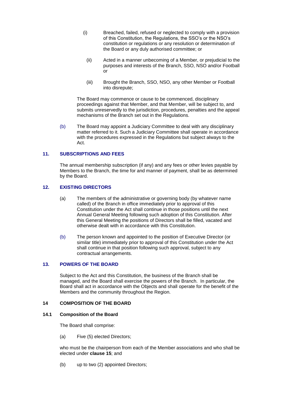- (i) Breached, failed, refused or neglected to comply with a provision of this Constitution, the Regulations, the SSO's or the NSO's constitution or regulations or any resolution or determination of the Board or any duly authorised committee; or
	- (ii) Acted in a manner unbecoming of a Member, or prejudicial to the purposes and interests of the Branch, SSO, NSO and/or Football or
	- (iii) Brought the Branch, SSO, NSO, any other Member or Football into disrepute;

The Board may commence or cause to be commenced, disciplinary proceedings against that Member, and that Member, will be subject to, and submits unreservedly to the jurisdiction, procedures, penalties and the appeal mechanisms of the Branch set out in the Regulations.

(b) The Board may appoint a Judiciary Committee to deal with any disciplinary matter referred to it. Such a Judiciary Committee shall operate in accordance with the procedures expressed in the Regulations but subject always to the Act.

# **11. SUBSCRIPTIONS AND FEES**

The annual membership subscription (if any) and any fees or other levies payable by Members to the Branch, the time for and manner of payment, shall be as determined by the Board.

## **12. EXISTING DIRECTORS**

- (a) The members of the administrative or governing body (by whatever name called) of the Branch in office immediately prior to approval of this Constitution under the Act shall continue in those positions until the next Annual General Meeting following such adoption of this Constitution. After this General Meeting the positions of Directors shall be filled, vacated and otherwise dealt with in accordance with this Constitution.
- (b) The person known and appointed to the position of Executive Director (or similar title) immediately prior to approval of this Constitution under the Act shall continue in that position following such approval, subject to any contractual arrangements.

# **13. POWERS OF THE BOARD**

Subject to the Act and this Constitution, the business of the Branch shall be managed, and the Board shall exercise the powers of the Branch. In particular, the Board shall act in accordance with the Objects and shall operate for the benefit of the Members and the community throughout the Region.

#### **14 COMPOSITION OF THE BOARD**

# **14.1 Composition of the Board**

The Board shall comprise:

(a) Five (5) elected Directors;

who must be the chairperson from each of the Member associations and who shall be elected under **clause [15](#page-10-0)**; and

(b) up to two (2) appointed Directors;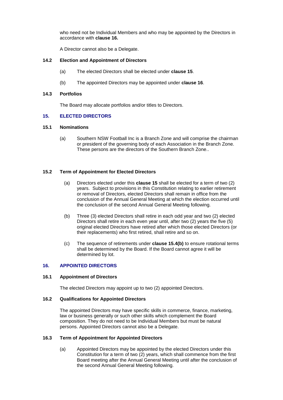who need not be Individual Members and who may be appointed by the Directors in accordance with **clause 16.**

A Director cannot also be a Delegate.

#### **14.2 Election and Appointment of Directors**

- (a) The elected Directors shall be elected under **clause [15](#page-10-0)**.
- (b) The appointed Directors may be appointed under **clause 16**.

#### **14.3 Portfolios**

The Board may allocate portfolios and/or titles to Directors.

# <span id="page-10-0"></span>**15. ELECTED DIRECTORS**

# **15.1 Nominations**

(a) Southern NSW Football Inc is a Branch Zone and will comprise the chairman or president of the governing body of each Association in the Branch Zone. These persons are the directors of the Southern Branch Zone..

## **15.2 Term of Appointment for Elected Directors**

- (a) Directors elected under this **clause [15](#page-10-0)** shall be elected for a term of two (2) years. Subject to provisions in this Constitution relating to earlier retirement or removal of Directors, elected Directors shall remain in office from the conclusion of the Annual General Meeting at which the election occurred until the conclusion of the second Annual General Meeting following.
- (b) Three (3) elected Directors shall retire in each odd year and two (2) elected Directors shall retire in each even year until, after two (2) years the five (5) original elected Directors have retired after which those elected Directors (or their replacements) who first retired, shall retire and so on.
- (c) The sequence of retirements under **clause 15.4(b)** to ensure rotational terms shall be determined by the Board. If the Board cannot agree it will be determined by lot.

# **16. APPOINTED DIRECTORS**

#### **16.1 Appointment of Directors**

The elected Directors may appoint up to two (2) appointed Directors.

# **16.2 Qualifications for Appointed Directors**

The appointed Directors may have specific skills in commerce, finance, marketing, law or business generally or such other skills which complement the Board composition. They do not need to be Individual Members but must be natural persons. Appointed Directors cannot also be a Delegate.

#### **16.3 Term of Appointment for Appointed Directors**

(a) Appointed Directors may be appointed by the elected Directors under this Constitution for a term of two (2) years, which shall commence from the first Board meeting after the Annual General Meeting until after the conclusion of the second Annual General Meeting following.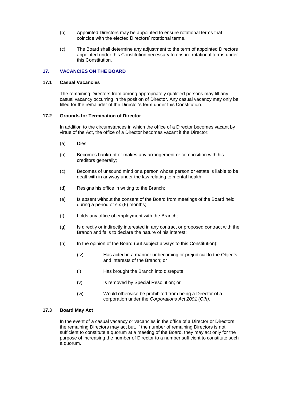- (b) Appointed Directors may be appointed to ensure rotational terms that coincide with the elected Directors' rotational terms.
- (c) The Board shall determine any adjustment to the term of appointed Directors appointed under this Constitution necessary to ensure rotational terms under this Constitution.

## **17. VACANCIES ON THE BOARD**

#### **17.1 Casual Vacancies**

The remaining Directors from among appropriately qualified persons may fill any casual vacancy occurring in the position of Director. Any casual vacancy may only be filled for the remainder of the Director's term under this Constitution.

# **17.2 Grounds for Termination of Director**

In addition to the circumstances in which the office of a Director becomes vacant by virtue of the Act, the office of a Director becomes vacant if the Director:

- (a) Dies;
- (b) Becomes bankrupt or makes any arrangement or composition with his creditors generally;
- (c) Becomes of unsound mind or a person whose person or estate is liable to be dealt with in anyway under the law relating to mental health;
- (d) Resigns his office in writing to the Branch;
- (e) Is absent without the consent of the Board from meetings of the Board held during a period of six (6) months;
- (f) holds any office of employment with the Branch;
- (g) Is directly or indirectly interested in any contract or proposed contract with the Branch and fails to declare the nature of his interest;
- (h) In the opinion of the Board (but subject always to this Constitution):
	- (iv) Has acted in a manner unbecoming or prejudicial to the Objects and interests of the Branch; or
	- (i) Has brought the Branch into disrepute;
	- (v) Is removed by Special Resolution; or
	- (vi) Would otherwise be prohibited from being a Director of a corporation under the *Corporations Act 2001 (Cth)*.

# **17.3 Board May Act**

In the event of a casual vacancy or vacancies in the office of a Director or Directors, the remaining Directors may act but, if the number of remaining Directors is not sufficient to constitute a quorum at a meeting of the Board, they may act only for the purpose of increasing the number of Director to a number sufficient to constitute such a quorum.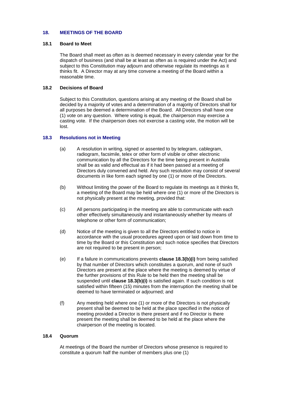# **18. MEETINGS OF THE BOARD**

#### **18.1 Board to Meet**

The Board shall meet as often as is deemed necessary in every calendar year for the dispatch of business (and shall be at least as often as is required under the Act) and subject to this Constitution may adjourn and otherwise regulate its meetings as it thinks fit. A Director may at any time convene a meeting of the Board within a reasonable time.

# **18.2 Decisions of Board**

Subject to this Constitution, questions arising at any meeting of the Board shall be decided by a majority of votes and a determination of a majority of Directors shall for all purposes be deemed a determination of the Board. All Directors shall have one (1) vote on any question. Where voting is equal, the chairperson may exercise a casting vote. If the chairperson does not exercise a casting vote, the motion will be lost.

## **18.3 Resolutions not in Meeting**

- (a) A resolution in writing, signed or assented to by telegram, cablegram, radiogram, facsimile, telex or other form of visible or other electronic communication by all the Directors for the time being present in Australia shall be as valid and effectual as if it had been passed at a meeting of Directors duly convened and held. Any such resolution may consist of several documents in like form each signed by one (1) or more of the Directors.
- <span id="page-12-0"></span>(b) Without limiting the power of the Board to regulate its meetings as it thinks fit, a meeting of the Board may be held where one (1) or more of the Directors is not physically present at the meeting, provided that:
- (c) All persons participating in the meeting are able to communicate with each other effectively simultaneously and instantaneously whether by means of telephone or other form of communication;
- (d) Notice of the meeting is given to all the Directors entitled to notice in accordance with the usual procedures agreed upon or laid down from time to time by the Board or this Constitution and such notice specifies that Directors are not required to be present in person;
- (e) If a failure in communications prevents **clause 18.[3\(b\)\(](#page-12-0)i)** from being satisfied by that number of Directors which constitutes a quorum, and none of such Directors are present at the place where the meeting is deemed by virtue of the further provisions of this Rule to be held then the meeting shall be suspended until **clause 18.[3\(b\)\(](#page-12-0)i)** is satisfied again. If such condition is not satisfied within fifteen (15) minutes from the interruption the meeting shall be deemed to have terminated or adjourned; and
- (f) Any meeting held where one (1) or more of the Directors is not physically present shall be deemed to be held at the place specified in the notice of meeting provided a Director is there present and if no Director is there present the meeting shall be deemed to be held at the place where the chairperson of the meeting is located.

#### **18.4 Quorum**

At meetings of the Board the number of Directors whose presence is required to constitute a quorum half the number of members plus one (1)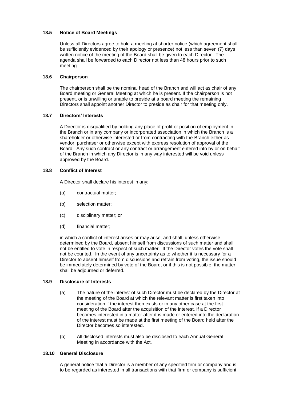# **18.5 Notice of Board Meetings**

Unless all Directors agree to hold a meeting at shorter notice (which agreement shall be sufficiently evidenced by their apology or presence) not less than seven (7) days written notice of the meeting of the Board shall be given to each Director. The agenda shall be forwarded to each Director not less than 48 hours prior to such meeting.

# **18.6 Chairperson**

The chairperson shall be the nominal head of the Branch and will act as chair of any Board meeting or General Meeting at which he is present. If the chairperson is not present, or is unwilling or unable to preside at a board meeting the remaining Directors shall appoint another Director to preside as chair for that meeting only.

# **18.7 Directors' Interests**

A Director is disqualified by holding any place of profit or position of employment in the Branch or in any company or incorporated association in which the Branch is a shareholder or otherwise interested or from contracting with the Branch either as vendor, purchaser or otherwise except with express resolution of approval of the Board. Any such contract or any contract or arrangement entered into by or on behalf of the Branch in which any Director is in any way interested will be void unless approved by the Board.

## **18.8 Conflict of Interest**

A Director shall declare his interest in any:

- (a) contractual matter;
- (b) selection matter;
- (c) disciplinary matter; or
- (d) financial matter;

in which a conflict of interest arises or may arise, and shall, unless otherwise determined by the Board, absent himself from discussions of such matter and shall not be entitled to vote in respect of such matter. If the Director votes the vote shall not be counted. In the event of any uncertainty as to whether it is necessary for a Director to absent himself from discussions and refrain from voting, the issue should be immediately determined by vote of the Board, or if this is not possible, the matter shall be adjourned or deferred.

#### **18.9 Disclosure of Interests**

- (a) The nature of the interest of such Director must be declared by the Director at the meeting of the Board at which the relevant matter is first taken into consideration if the interest then exists or in any other case at the first meeting of the Board after the acquisition of the interest. If a Director becomes interested in a matter after it is made or entered into the declaration of the interest must be made at the first meeting of the Board held after the Director becomes so interested.
- (b) All disclosed interests must also be disclosed to each Annual General Meeting in accordance with the Act.

#### **18.10 General Disclosure**

A general notice that a Director is a member of any specified firm or company and is to be regarded as interested in all transactions with that firm or company is sufficient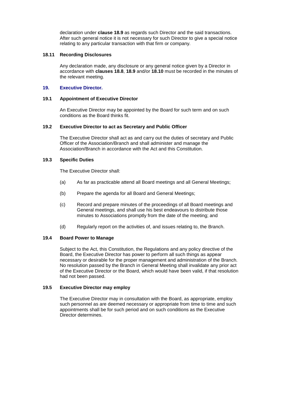declaration under **clause 18.9** as regards such Director and the said transactions. After such general notice it is not necessary for such Director to give a special notice relating to any particular transaction with that firm or company.

#### **18.11 Recording Disclosures**

Any declaration made, any disclosure or any general notice given by a Director in accordance with **clauses 18.8**, **18.9** and/or **18.10** must be recorded in the minutes of the relevant meeting.

#### **19. Executive Director***.*

#### **19.1 Appointment of Executive Director**

An Executive Director may be appointed by the Board for such term and on such conditions as the Board thinks fit.

#### **19.2 Executive Director to act as Secretary and Public Officer**

The Executive Director shall act as and carry out the duties of secretary and Public Officer of the Association/Branch and shall administer and manage the Association/Branch in accordance with the Act and this Constitution.

#### **19.3 Specific Duties**

The Executive Director shall:

- (a) As far as practicable attend all Board meetings and all General Meetings;
- (b) Prepare the agenda for all Board and General Meetings;
- (c) Record and prepare minutes of the proceedings of all Board meetings and General meetings, and shall use his best endeavours to distribute those minutes to Associations promptly from the date of the meeting; and
- (d) Regularly report on the activities of, and issues relating to, the Branch.

## **19.4 Board Power to Manage**

Subject to the Act, this Constitution, the Regulations and any policy directive of the Board, the Executive Director has power to perform all such things as appear necessary or desirable for the proper management and administration of the Branch. No resolution passed by the Branch in General Meeting shall invalidate any prior act of the Executive Director or the Board, which would have been valid, if that resolution had not been passed.

#### **19.5 Executive Director may employ**

The Executive Director may in consultation with the Board, as appropriate, employ such personnel as are deemed necessary or appropriate from time to time and such appointments shall be for such period and on such conditions as the Executive Director determines.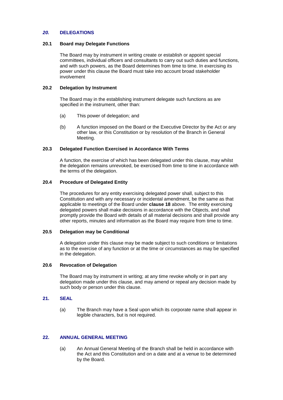## *20.* **DELEGATIONS**

#### **20.1 Board may Delegate Functions**

The Board may by instrument in writing create or establish or appoint special committees, individual officers and consultants to carry out such duties and functions, and with such powers, as the Board determines from time to time. In exercising its power under this clause the Board must take into account broad stakeholder involvement

#### **20.2 Delegation by Instrument**

The Board may in the establishing instrument delegate such functions as are specified in the instrument, other than:

- (a) This power of delegation; and
- (b) A function imposed on the Board or the Executive Director by the Act or any other law, or this Constitution or by resolution of the Branch in General Meeting.

## **20.3 Delegated Function Exercised in Accordance With Terms**

A function, the exercise of which has been delegated under this clause, may whilst the delegation remains unrevoked, be exercised from time to time in accordance with the terms of the delegation.

# **20.4 Procedure of Delegated Entity**

The procedures for any entity exercising delegated power shall, subject to this Constitution and with any necessary or incidental amendment, be the same as that applicable to meetings of the Board under **clause 18** above. The entity exercising delegated powers shall make decisions in accordance with the Objects, and shall promptly provide the Board with details of all material decisions and shall provide any other reports, minutes and information as the Board may require from time to time.

#### **20.5 Delegation may be Conditional**

A delegation under this clause may be made subject to such conditions or limitations as to the exercise of any function or at the time or circumstances as may be specified in the delegation.

#### **20.6 Revocation of Delegation**

The Board may by instrument in writing; at any time revoke wholly or in part any delegation made under this clause, and may amend or repeal any decision made by such body or person under this clause.

#### **21. SEAL**

(a) The Branch may have a Seal upon which its corporate name shall appear in legible characters, but is not required.

#### **22. ANNUAL GENERAL MEETING**

(a) An Annual General Meeting of the Branch shall be held in accordance with the Act and this Constitution and on a date and at a venue to be determined by the Board.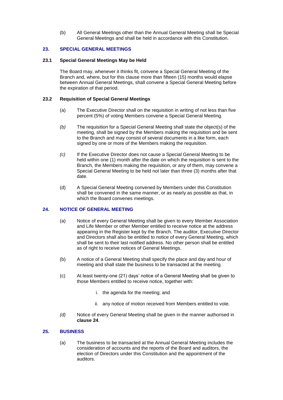(b) All General Meetings other than the Annual General Meeting shall be Special General Meetings and shall be held in accordance with this Constitution.

# **23. SPECIAL GENERAL MEETINGS**

## **23.1 Special General Meetings May be Held**

The Board may, whenever it thinks fit, convene a Special General Meeting of the Branch and, where, but for this clause more than fifteen (15) months would elapse between Annual General Meetings, shall convene a Special General Meeting before the expiration of that period.

# **23.2 Requisition of Special General Meetings**

- (a) The Executive Director shall on the requisition in writing of not less than five percent (5%) of voting Members convene a Special General Meeting.
- *(b)* The requisition for a Special General Meeting shall state the object(s) of the meeting, shall be signed by the Members making the requisition and be sent to the Branch and may consist of several documents in a like form, each signed by one or more of the Members making the requisition.
- *(c)* If the Executive Director does not cause a Special General Meeting to be held within one (1) month after the date on which the requisition is sent to the Branch, the Members making the requisition, or any of them, may convene a Special General Meeting to be held not later than three (3) months after that date.
- (d) A Special General Meeting convened by Members under this Constitution shall be convened in the same manner, or as nearly as possible as that, in which the Board convenes meetings.

# **24. NOTICE OF GENERAL MEETING**

- (a) Notice of every General Meeting shall be given to every Member Association and Life Member or other Member entitled to receive notice at the address appearing in the Register kept by the Branch. The auditor, Executive Director and Directors shall also be entitled to notice of every General Meeting, which shall be sent to their last notified address. No other person shall be entitled as of right to receive notices of General Meetings.
- (b) A notice of a General Meeting shall specify the place and day and hour of meeting and shall state the business to be transacted at the meeting.
- (c) At least twenty-one (21) days' notice of a General Meeting shall be given to those Members entitled to receive notice, together with:
	- i. the agenda for the meeting; and
	- ii. any notice of motion received from Members entitled to vote.
- *(d)* Notice of every General Meeting shall be given in the manner authorised in **clause 24**.

# <span id="page-16-0"></span>**25. BUSINESS**

(a) The business to be transacted at the Annual General Meeting includes the consideration of accounts and the reports of the Board and auditors, the election of Directors under this Constitution and the appointment of the auditors.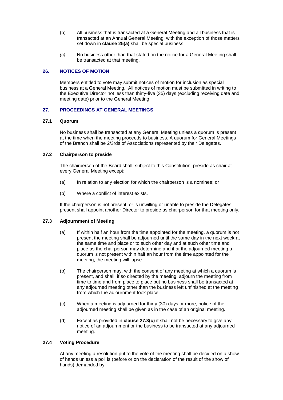- (b) All business that is transacted at a General Meeting and all business that is transacted at an Annual General Meeting, with the exception of those matters set down in **clause [25\(a\)](#page-16-0)** shall be special business.
- *(c)* No business other than that stated on the notice for a General Meeting shall be transacted at that meeting.

# **26. NOTICES OF MOTION**

Members entitled to vote may submit notices of motion for inclusion as special business at a General Meeting. All notices of motion must be submitted in writing to the Executive Director not less than thirty-five (35) days (excluding receiving date and meeting date) prior to the General Meeting.

## **27. PROCEEDINGS AT GENERAL MEETINGS**

#### **27.1 Quorum**

No business shall be transacted at any General Meeting unless a quorum is present at the time when the meeting proceeds to business. A quorum for General Meetings of the Branch shall be 2/3rds of Associations represented by their Delegates.

# **27.2 Chairperson to preside**

The chairperson of the Board shall, subject to this Constitution, preside as chair at every General Meeting except:

- (a) In relation to any election for which the chairperson is a nominee; or
- (b) Where a conflict of interest exists.

If the chairperson is not present, or is unwilling or unable to preside the Delegates present shall appoint another Director to preside as chairperson for that meeting only.

# **27.3 Adjournment of Meeting**

- (a) If within half an hour from the time appointed for the meeting, a quorum is not present the meeting shall be adjourned until the same day in the next week at the same time and place or to such other day and at such other time and place as the chairperson may determine and if at the adjourned meeting a quorum is not present within half an hour from the time appointed for the meeting, the meeting will lapse.
- (b) The chairperson may, with the consent of any meeting at which a quorum is present, and shall, if so directed by the meeting, adjourn the meeting from time to time and from place to place but no business shall be transacted at any adjourned meeting other than the business left unfinished at the meeting from which the adjournment took place.
- (c) When a meeting is adjourned for thirty (30) days or more, notice of the adjourned meeting shall be given as in the case of an original meeting.
- (d) Except as provided in **clause 27.3(c)** it shall not be necessary to give any notice of an adjournment or the business to be transacted at any adjourned meeting.

#### **27.4 Voting Procedure**

At any meeting a resolution put to the vote of the meeting shall be decided on a show of hands unless a poll is (before or on the declaration of the result of the show of hands) demanded by: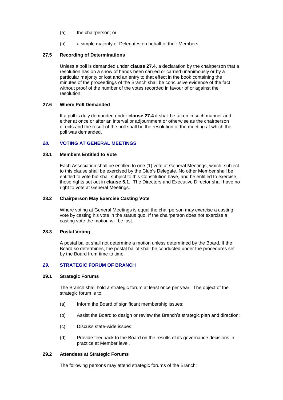- (a) the chairperson; or
- (b) a simple majority of Delegates on behalf of their Members.

# **27.5 Recording of Determinations**

Unless a poll is demanded under **clause 27.4**, a declaration by the chairperson that a resolution has on a show of hands been carried or carried unanimously or by a particular majority or lost and an entry to that effect in the book containing the minutes of the proceedings of the Branch shall be conclusive evidence of the fact without proof of the number of the votes recorded in favour of or against the resolution.

## **27.6 Where Poll Demanded**

If a poll is duly demanded under **clause 27.4** it shall be taken in such manner and either at once or after an interval or adjournment or otherwise as the chairperson directs and the result of the poll shall be the resolution of the meeting at which the poll was demanded.

# *28.* **VOTING AT GENERAL MEETINGS**

#### **28.1 Members Entitled to Vote**

Each Association shall be entitled to one (1) vote at General Meetings, which, subject to this clause shall be exercised by the Club's Delegate. No other Member shall be entitled to vote but shall subject to this Constitution have, and be entitled to exercise, those rights set out in **clause 5.1**. The Directors and Executive Director shall have no right to vote at General Meetings.

#### **28.2 Chairperson May Exercise Casting Vote**

Where voting at General Meetings is equal the chairperson may exercise a casting vote by casting his vote in the status quo. If the chairperson does not exercise a casting vote the motion will be lost.

#### **28.3 Postal Voting**

A postal ballot shall not determine a motion unless determined by the Board. If the Board so determines, the postal ballot shall be conducted under the procedures set by the Board from time to time.

# *29.* **STRATEGIC FORUM OF BRANCH**

#### **29.1 Strategic Forums**

The Branch shall hold a strategic forum at least once per year. The object of the strategic forum is to:

- (a) Inform the Board of significant membership issues;
- (b) Assist the Board to design or review the Branch's strategic plan and direction;
- (c) Discuss state-wide issues;
- (d) Provide feedback to the Board on the results of its governance decisions in practice at Member level.

## **29.2 Attendees at Strategic Forums**

The following persons may attend strategic forums of the Branch: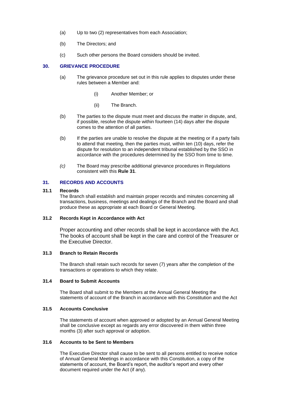- (a) Up to two (2) representatives from each Association;
- (b) The Directors; and
- (c) Such other persons the Board considers should be invited.

# **30. GRIEVANCE PROCEDURE**

- (a) The grievance procedure set out in this rule applies to disputes under these rules between a Member and:
	- (i) Another Member; or
	- (ii) The Branch.
- (b) The parties to the dispute must meet and discuss the matter in dispute, and, if possible, resolve the dispute within fourteen (14) days after the dispute comes to the attention of all parties.
- (b) If the parties are unable to resolve the dispute at the meeting or if a party fails to attend that meeting, then the parties must, within ten (10) days, refer the dispute for resolution to an independent tribunal established by the SSO in accordance with the procedures determined by the SSO from time to time.
- *(c)* The Board may prescribe additional grievance procedures in Regulations consistent with this **Rule 31**.

# **31. RECORDS AND ACCOUNTS**

#### **31.1 Records**

The Branch shall establish and maintain proper records and minutes concerning all transactions, business, meetings and dealings of the Branch and the Board and shall produce these as appropriate at each Board or General Meeting.

#### **31.2 Records Kept in Accordance with Act**

Proper accounting and other records shall be kept in accordance with the Act. The books of account shall be kept in the care and control of the Treasurer or the Executive Director.

## **31.3 Branch to Retain Records**

The Branch shall retain such records for seven (7) years after the completion of the transactions or operations to which they relate.

#### **31.4 Board to Submit Accounts**

The Board shall submit to the Members at the Annual General Meeting the statements of account of the Branch in accordance with this Constitution and the Act

# **31.5 Accounts Conclusive**

The statements of account when approved or adopted by an Annual General Meeting shall be conclusive except as regards any error discovered in them within three months (3) after such approval or adoption.

## **31.6 Accounts to be Sent to Members**

The Executive Director shall cause to be sent to all persons entitled to receive notice of Annual General Meetings in accordance with this Constitution, a copy of the statements of account, the Board's report, the auditor's report and every other document required under the Act (if any).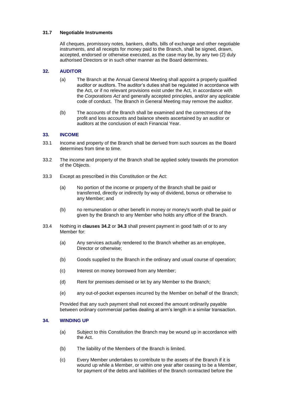# **31.7 Negotiable Instruments**

All cheques, promissory notes, bankers, drafts, bills of exchange and other negotiable instruments, and all receipts for money paid to the Branch, shall be signed, drawn, accepted, endorsed or otherwise executed, as the case may be, by any two (2) duly authorised Directors or in such other manner as the Board determines.

## **32. AUDITOR**

- (a) The Branch at the Annual General Meeting shall appoint a properly qualified auditor or auditors. The auditor's duties shall be regulated in accordance with the Act, or if no relevant provisions exist under the Act, in accordance with the *Corporations Act* and generally accepted principles, and/or any applicable code of conduct. The Branch in General Meeting may remove the auditor.
- (b) The accounts of the Branch shall be examined and the correctness of the profit and loss accounts and balance sheets ascertained by an auditor or auditors at the conclusion of each Financial Year.

## **33. INCOME**

- 33.1 Income and property of the Branch shall be derived from such sources as the Board determines from time to time.
- 33.2 The income and property of the Branch shall be applied solely towards the promotion of the Objects.
- 33.3 Except as prescribed in this Constitution or the Act:
	- (a) No portion of the income or property of the Branch shall be paid or transferred, directly or indirectly by way of dividend, bonus or otherwise to any Member; and
	- (b) no remuneration or other benefit in money or money's worth shall be paid or given by the Branch to any Member who holds any office of the Branch.
- 33.4 Nothing in **clauses 34.2** or **34.3** shall prevent payment in good faith of or to any Member for:
	- (a) Any services actually rendered to the Branch whether as an employee, Director or otherwise:
	- (b) Goods supplied to the Branch in the ordinary and usual course of operation;
	- (c) Interest on money borrowed from any Member;
	- (d) Rent for premises demised or let by any Member to the Branch;
	- (e) any out-of-pocket expenses incurred by the Member on behalf of the Branch;

Provided that any such payment shall not exceed the amount ordinarily payable between ordinary commercial parties dealing at arm's length in a similar transaction.

#### **34. WINDING UP**

- (a) Subject to this Constitution the Branch may be wound up in accordance with the Act.
- (b) The liability of the Members of the Branch is limited.
- (c) Every Member undertakes to contribute to the assets of the Branch if it is wound up while a Member, or within one year after ceasing to be a Member, for payment of the debts and liabilities of the Branch contracted before the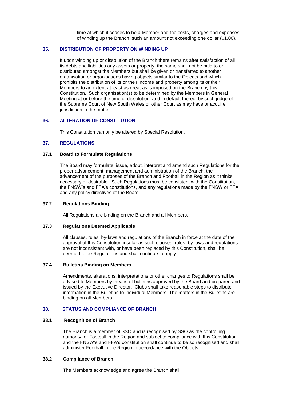time at which it ceases to be a Member and the costs, charges and expenses of winding up the Branch, such an amount not exceeding one dollar (\$1.00).

## **35. DISTRIBUTION OF PROPERTY ON WINDING UP**

If upon winding up or dissolution of the Branch there remains after satisfaction of all its debts and liabilities any assets or property, the same shall not be paid to or distributed amongst the Members but shall be given or transferred to another organisation or organisations having objects similar to the Objects and which prohibits the distribution of its or their income and property among its or their Members to an extent at least as great as is imposed on the Branch by this Constitution. Such organisation(s) to be determined by the Members in General Meeting at or before the time of dissolution, and in default thereof by such judge of the Supreme Court of New South Wales or other Court as may have or acquire jurisdiction in the matter.

#### **36. ALTERATION OF CONSTITUTION**

This Constitution can only be altered by Special Resolution.

# **37. REGULATIONS**

## **37.1 Board to Formulate Regulations**

The Board may formulate, issue, adopt, interpret and amend such Regulations for the proper advancement, management and administration of the Branch, the advancement of the purposes of the Branch and Football in the Region as it thinks necessary or desirable. Such Regulations must be consistent with the Constitution, the FNSW's and FFA's constitutions, and any regulations made by the FNSW or FFA and any policy directives of the Board.

#### **37.2 Regulations Binding**

All Regulations are binding on the Branch and all Members.

# **37.3 Regulations Deemed Applicable**

All clauses, rules, by-laws and regulations of the Branch in force at the date of the approval of this Constitution insofar as such clauses, rules, by-laws and regulations are not inconsistent with, or have been replaced by this Constitution, shall be deemed to be Regulations and shall continue to apply.

# **37.4 Bulletins Binding on Members**

Amendments, alterations, interpretations or other changes to Regulations shall be advised to Members by means of bulletins approved by the Board and prepared and issued by the Executive Director. Clubs shall take reasonable steps to distribute information in the Bulletins to Individual Members. The matters in the Bulletins are binding on all Members.

# **38. STATUS AND COMPLIANCE OF BRANCH**

## **38.1 Recognition of Branch**

The Branch is a member of SSO and is recognised by SSO as the controlling authority for Football in the Region and subject to compliance with this Constitution and the FNSW's and FFA's constitution shall continue to be so recognised and shall administer Football in the Region in accordance with the Objects.

#### **38.2 Compliance of Branch**

The Members acknowledge and agree the Branch shall: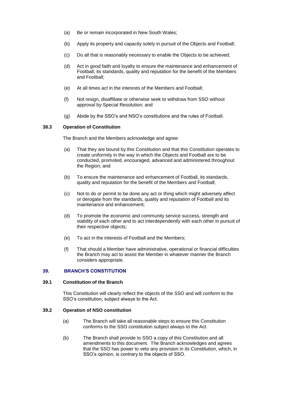- (a) Be or remain incorporated in New South Wales;
- (b) Apply its property and capacity solely in pursuit of the Objects and Football;
- (c) Do all that is reasonably necessary to enable the Objects to be achieved;
- (d) Act in good faith and loyalty to ensure the maintenance and enhancement of Football, its standards, quality and reputation for the benefit of the Members and Football;
- (e) At all times act in the interests of the Members and Football;
- (f) Not resign, disaffiliate or otherwise seek to withdraw from SSO without approval by Special Resolution; and
- (g) Abide by the SSO's and NSO's constitutions and the rules of Football.

## **38.3 Operation of Constitution**

The Branch and the Members acknowledge and agree:

- (a) That they are bound by this Constitution and that this Constitution operates to create uniformity in the way in which the Objects and Football are to be conducted, promoted, encouraged, advanced and administered throughout the Region; and
- (b) To ensure the maintenance and enhancement of Football, its standards, quality and reputation for the benefit of the Members and Football;
- (c) Not to do or permit to be done any act or thing which might adversely affect or derogate from the standards, quality and reputation of Football and its maintenance and enhancement;
- (d) To promote the economic and community service success, strength and stability of each other and to act interdependently with each other in pursuit of their respective objects;
- (e) To act in the interests of Football and the Members;
- (f) That should a Member have administrative, operational or financial difficulties the Branch may act to assist the Member in whatever manner the Branch considers appropriate.

# **39. BRANCH'S CONSTITUTION**

#### **39.1 Constitution of the Branch**

This Constitution will clearly reflect the objects of the SSO and will conform to the SSO's constitution, subject always to the Act.

## **39.2 Operation of NSO constitution**

- (a) The Branch will take all reasonable steps to ensure this Constitution conforms to the SSO constitution subject always to the Act.
- (b) The Branch shall provide to SSO a copy of this Constitution and all amendments to this document. The Branch acknowledges and agrees that the SSO has power to veto any provision in its Constitution, which, in SSO's opinion, is contrary to the objects of SSO.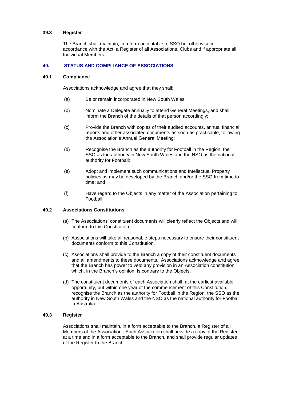#### **39.3 Register**

The Branch shall maintain, in a form acceptable to SSO but otherwise in accordance with the Act, a Register of all Associations, Clubs and if appropriate all Individual Members.

# **40. STATUS AND COMPLIANCE OF ASSOCIATIONS**

## **40.1 Compliance**

Associations acknowledge and agree that they shall:

- (a) Be or remain incorporated in New South Wales;
- (b) Nominate a Delegate annually to attend General Meetings, and shall inform the Branch of the details of that person accordingly;
- (c) Provide the Branch with copies of their audited accounts, annual financial reports and other associated documents as soon as practicable, following the Association's Annual General Meeting;
- (d) Recognise the Branch as the authority for Football in the Region, the SSO as the authority in New South Wales and the NSO as the national authority for Football;
- (e) Adopt and implement such communications and Intellectual Property policies as may be developed by the Branch and/or the SSO from time to time; and
- (f) Have regard to the Objects in any matter of the Association pertaining to **Football**

#### **40.2 Associations Constitutions**

- (a) The Associations' constituent documents will clearly reflect the Objects and will conform to this Constitution.
- (b) Associations will take all reasonable steps necessary to ensure their constituent documents conform to this Constitution.
- (c) Associations shall provide to the Branch a copy of their constituent documents and all amendments to these documents. Associations acknowledge and agree that the Branch has power to veto any provision in an Association constitution, which, in the Branch's opinion, is contrary to the Objects.
- (d) The constituent documents of each Association shall, at the earliest available opportunity, but within one year of the commencement of this Constitution, recognise the Branch as the authority for Football in the Region, the SSO as the authority in New South Wales and the NSO as the national authority for Football in Australia.

# **40.3 Register**

Associations shall maintain, in a form acceptable to the Branch, a Register of all Members of the Association. Each Association shall provide a copy of the Register at a time and in a form acceptable to the Branch, and shall provide regular updates of the Register to the Branch.